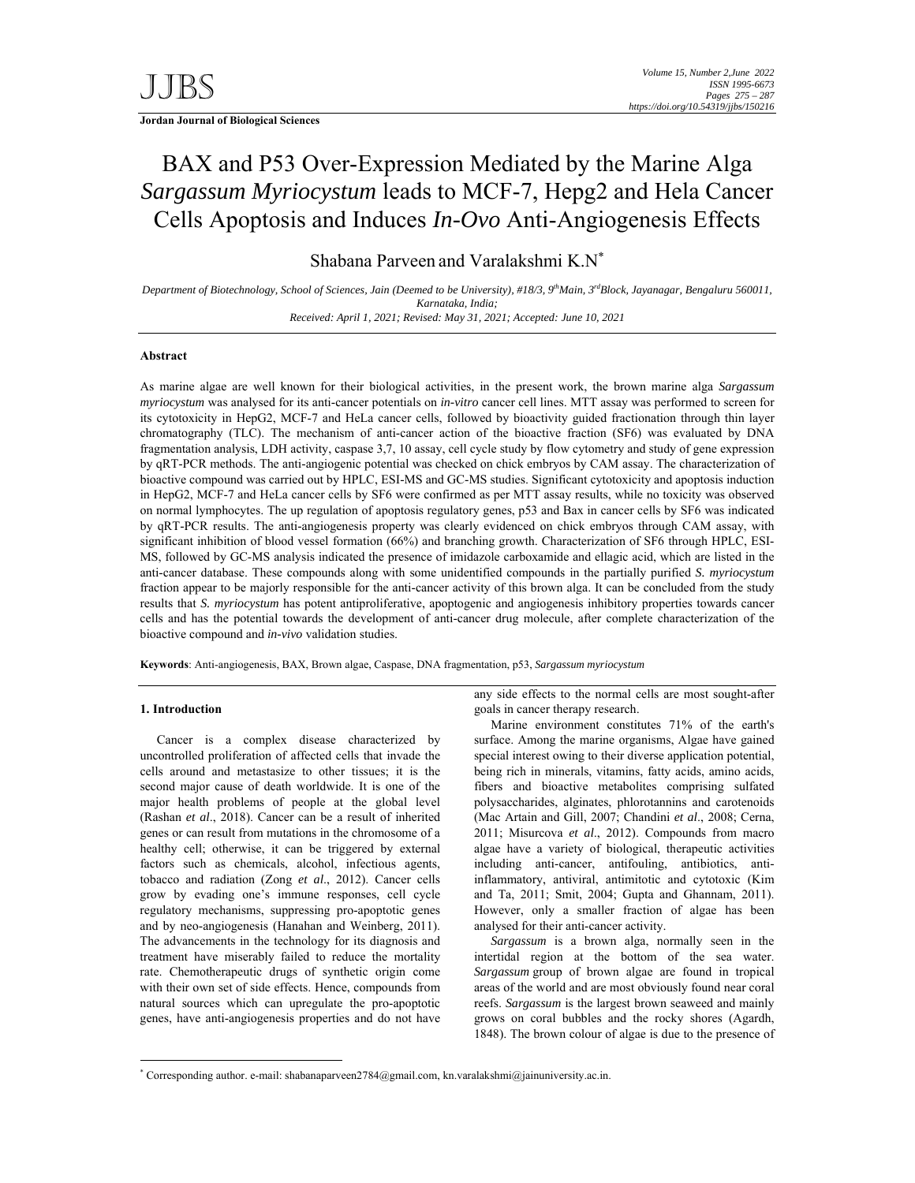**Jordan Journal of Biological Sciences** 

# BAX and P53 Over-Expression Mediated by the Marine Alga *Sargassum Myriocystum* leads to MCF-7, Hepg2 and Hela Cancer Cells Apoptosis and Induces *In-Ovo* Anti-Angiogenesis Effects

Shabana Parveen and Varalakshmi K.N\*

*Department of Biotechnology, School of Sciences, Jain (Deemed to be University), #18/3, 9thMain, 3rdBlock, Jayanagar, Bengaluru 560011, Karnataka, India; Received: April 1, 2021; Revised: May 31, 2021; Accepted: June 10, 2021* 

## **Abstract**

As marine algae are well known for their biological activities, in the present work, the brown marine alga *Sargassum myriocystum* was analysed for its anti-cancer potentials on *in-vitro* cancer cell lines. MTT assay was performed to screen for its cytotoxicity in HepG2, MCF-7 and HeLa cancer cells, followed by bioactivity guided fractionation through thin layer chromatography (TLC). The mechanism of anti-cancer action of the bioactive fraction (SF6) was evaluated by DNA fragmentation analysis, LDH activity, caspase 3,7, 10 assay, cell cycle study by flow cytometry and study of gene expression by qRT-PCR methods. The anti-angiogenic potential was checked on chick embryos by CAM assay. The characterization of bioactive compound was carried out by HPLC, ESI-MS and GC-MS studies. Significant cytotoxicity and apoptosis induction in HepG2, MCF-7 and HeLa cancer cells by SF6 were confirmed as per MTT assay results, while no toxicity was observed on normal lymphocytes. The up regulation of apoptosis regulatory genes, p53 and Bax in cancer cells by SF6 was indicated by qRT-PCR results. The anti-angiogenesis property was clearly evidenced on chick embryos through CAM assay, with significant inhibition of blood vessel formation (66%) and branching growth. Characterization of SF6 through HPLC, ESI-MS, followed by GC-MS analysis indicated the presence of imidazole carboxamide and ellagic acid, which are listed in the anti-cancer database. These compounds along with some unidentified compounds in the partially purified *S. myriocystum* fraction appear to be majorly responsible for the anti-cancer activity of this brown alga. It can be concluded from the study results that *S. myriocystum* has potent antiproliferative, apoptogenic and angiogenesis inhibitory properties towards cancer cells and has the potential towards the development of anti-cancer drug molecule, after complete characterization of the bioactive compound and *in-vivo* validation studies.

**Keywords**: Anti-angiogenesis, BAX, Brown algae, Caspase, DNA fragmentation, p53, *Sargassum myriocystum*

## **1. Introduction**

-

Cancer is a complex disease characterized by uncontrolled proliferation of affected cells that invade the cells around and metastasize to other tissues; it is the second major cause of death worldwide. It is one of the major health problems of people at the global level (Rashan *et al*., 2018). Cancer can be a result of inherited genes or can result from mutations in the chromosome of a healthy cell; otherwise, it can be triggered by external factors such as chemicals, alcohol, infectious agents, tobacco and radiation (Zong *et al*., 2012). Cancer cells grow by evading one's immune responses, cell cycle regulatory mechanisms, suppressing pro-apoptotic genes and by neo-angiogenesis (Hanahan and Weinberg, 2011). The advancements in the technology for its diagnosis and treatment have miserably failed to reduce the mortality rate. Chemotherapeutic drugs of synthetic origin come with their own set of side effects. Hence, compounds from natural sources which can upregulate the pro-apoptotic genes, have anti-angiogenesis properties and do not have

any side effects to the normal cells are most sought-after goals in cancer therapy research.

Marine environment constitutes 71% of the earth's surface. Among the marine organisms, Algae have gained special interest owing to their diverse application potential, being rich in minerals, vitamins, fatty acids, amino acids, fibers and bioactive metabolites comprising sulfated polysaccharides, alginates, phlorotannins and carotenoids (Mac Artain and Gill, 2007; Chandini *et al*., 2008; Cerna, 2011; Misurcova *et al*., 2012). Compounds from macro algae have a variety of biological, therapeutic activities including anti-cancer, antifouling, antibiotics, antiinflammatory, antiviral, antimitotic and cytotoxic (Kim and Ta, 2011; Smit, 2004; Gupta and Ghannam, 2011). However, only a smaller fraction of algae has been analysed for their anti-cancer activity.

*Sargassum* is a brown alga, normally seen in the intertidal region at the bottom of the sea water. *Sargassum* group of brown algae are found in tropical areas of the world and are most obviously found near coral reefs. *Sargassum* is the largest brown seaweed and mainly grows on coral bubbles and the rocky shores (Agardh, 1848). The brown colour of algae is due to the presence of

<sup>\*</sup> Corresponding author. e-mail: shabanaparveen2784@gmail.com, kn.varalakshmi@jainuniversity.ac.in.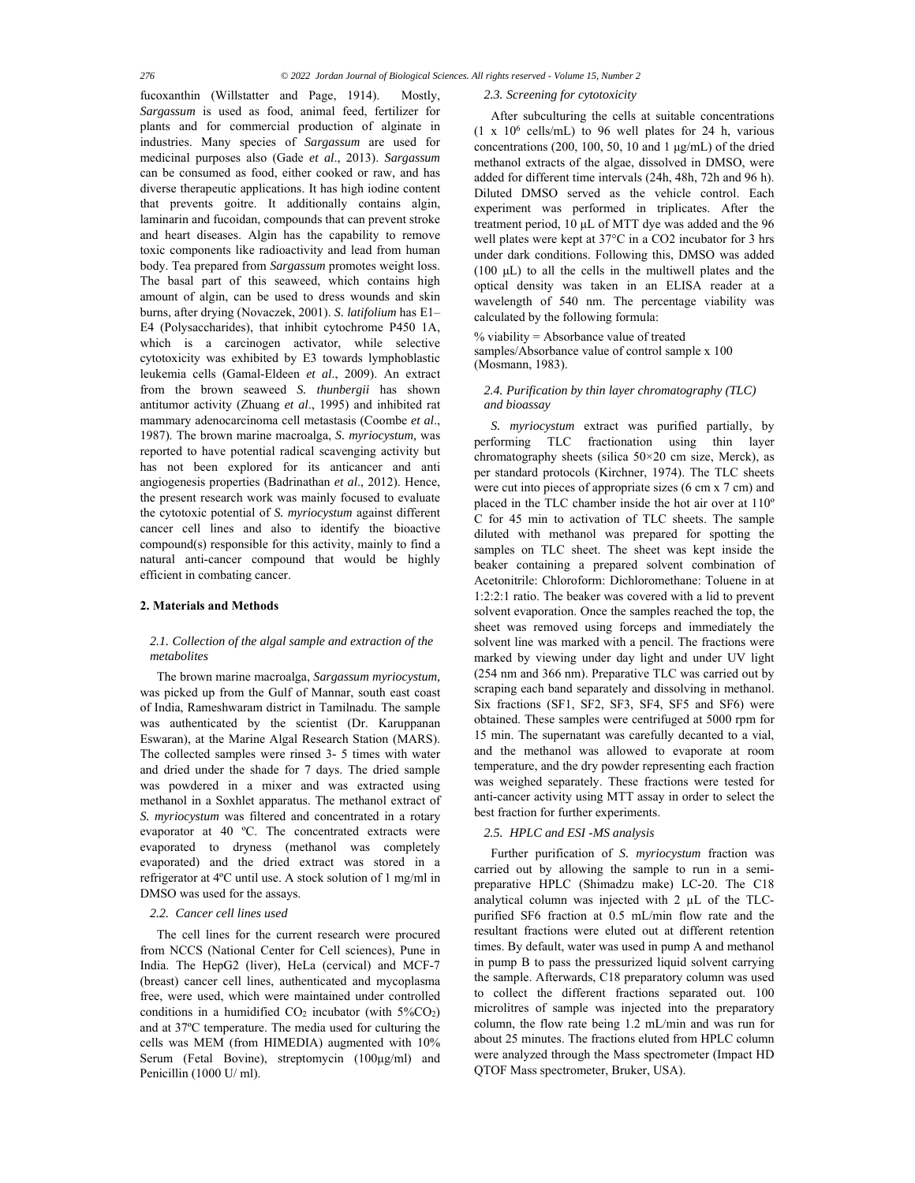fucoxanthin (Willstatter and Page, 1914). Mostly, *Sargassum* is used as food, animal feed, fertilizer for plants and for commercial production of alginate in industries. Many species of *Sargassum* are used for medicinal purposes also (Gade *et al*., 2013). *Sargassum* can be consumed as food, either cooked or raw, and has diverse therapeutic applications. It has high iodine content that prevents goitre. It additionally contains algin, laminarin and fucoidan, compounds that can prevent stroke and heart diseases. Algin has the capability to remove toxic components like radioactivity and lead from human body. Tea prepared from *Sargassum* promotes weight loss. The basal part of this seaweed, which contains high amount of algin, can be used to dress wounds and skin burns, after drying (Novaczek, 2001). *S. latifolium* has E1– E4 (Polysaccharides), that inhibit cytochrome P450 1A, which is a carcinogen activator, while selective cytotoxicity was exhibited by E3 towards lymphoblastic leukemia cells (Gamal-Eldeen *et al*., 2009). An extract from the brown seaweed *S. thunbergii* has shown antitumor activity (Zhuang *et al*., 1995) and inhibited rat mammary adenocarcinoma cell metastasis (Coombe *et al*., 1987). The brown marine macroalga, *S. myriocystum,* was reported to have potential radical scavenging activity but has not been explored for its anticancer and anti angiogenesis properties (Badrinathan *et al*., 2012). Hence, the present research work was mainly focused to evaluate the cytotoxic potential of *S. myriocystum* against different cancer cell lines and also to identify the bioactive compound(s) responsible for this activity, mainly to find a natural anti-cancer compound that would be highly efficient in combating cancer.

## **2. Materials and Methods**

## *2.1. Collection of the algal sample and extraction of the metabolites*

The brown marine macroalga, *Sargassum myriocystum,* was picked up from the Gulf of Mannar, south east coast of India, Rameshwaram district in Tamilnadu. The sample was authenticated by the scientist (Dr. Karuppanan Eswaran), at the Marine Algal Research Station (MARS). The collected samples were rinsed 3- 5 times with water and dried under the shade for 7 days. The dried sample was powdered in a mixer and was extracted using methanol in a Soxhlet apparatus. The methanol extract of *S. myriocystum* was filtered and concentrated in a rotary evaporator at 40 ºC. The concentrated extracts were evaporated to dryness (methanol was completely evaporated) and the dried extract was stored in a refrigerator at 4ºC until use. A stock solution of 1 mg/ml in DMSO was used for the assays.

## *2.2. Cancer cell lines used*

The cell lines for the current research were procured from NCCS (National Center for Cell sciences), Pune in India. The HepG2 (liver), HeLa (cervical) and MCF-7 (breast) cancer cell lines, authenticated and mycoplasma free, were used, which were maintained under controlled conditions in a humidified  $CO<sub>2</sub>$  incubator (with  $5\%CO<sub>2</sub>$ ) and at 37ºC temperature. The media used for culturing the cells was MEM (from HIMEDIA) augmented with 10% Serum (Fetal Bovine), streptomycin (100μg/ml) and Penicillin (1000 U/ ml).

#### *2.3. Screening for cytotoxicity*

After subculturing the cells at suitable concentrations  $(1 \times 10^6 \text{ cells/mL})$  to 96 well plates for 24 h, various concentrations (200, 100, 50, 10 and 1 μg/mL) of the dried methanol extracts of the algae, dissolved in DMSO, were added for different time intervals (24h, 48h, 72h and 96 h). Diluted DMSO served as the vehicle control. Each experiment was performed in triplicates. After the treatment period, 10 μL of MTT dye was added and the 96 well plates were kept at 37°C in a CO2 incubator for 3 hrs under dark conditions. Following this, DMSO was added (100 μL) to all the cells in the multiwell plates and the optical density was taken in an ELISA reader at a wavelength of 540 nm. The percentage viability was calculated by the following formula:

 $%$  viability = Absorbance value of treated samples/Absorbance value of control sample x 100 (Mosmann, 1983).

# *2.4. Purification by thin layer chromatography (TLC) and bioassay*

*S. myriocystum* extract was purified partially, by performing TLC fractionation using thin layer chromatography sheets (silica 50×20 cm size, Merck), as per standard protocols (Kirchner, 1974). The TLC sheets were cut into pieces of appropriate sizes (6 cm x 7 cm) and placed in the TLC chamber inside the hot air over at 110º C for 45 min to activation of TLC sheets. The sample diluted with methanol was prepared for spotting the samples on TLC sheet. The sheet was kept inside the beaker containing a prepared solvent combination of Acetonitrile: Chloroform: Dichloromethane: Toluene in at 1:2:2:1 ratio. The beaker was covered with a lid to prevent solvent evaporation. Once the samples reached the top, the sheet was removed using forceps and immediately the solvent line was marked with a pencil. The fractions were marked by viewing under day light and under UV light (254 nm and 366 nm). Preparative TLC was carried out by scraping each band separately and dissolving in methanol. Six fractions (SF1, SF2, SF3, SF4, SF5 and SF6) were obtained. These samples were centrifuged at 5000 rpm for 15 min. The supernatant was carefully decanted to a vial, and the methanol was allowed to evaporate at room temperature, and the dry powder representing each fraction was weighed separately. These fractions were tested for anti-cancer activity using MTT assay in order to select the best fraction for further experiments.

## *2.5. HPLC and ESI -MS analysis*

Further purification of *S. myriocystum* fraction was carried out by allowing the sample to run in a semipreparative HPLC (Shimadzu make) LC-20. The C18 analytical column was injected with 2 µL of the TLCpurified SF6 fraction at 0.5 mL/min flow rate and the resultant fractions were eluted out at different retention times. By default, water was used in pump A and methanol in pump B to pass the pressurized liquid solvent carrying the sample. Afterwards, C18 preparatory column was used to collect the different fractions separated out. 100 microlitres of sample was injected into the preparatory column, the flow rate being 1.2 mL/min and was run for about 25 minutes. The fractions eluted from HPLC column were analyzed through the Mass spectrometer (Impact HD QTOF Mass spectrometer, Bruker, USA).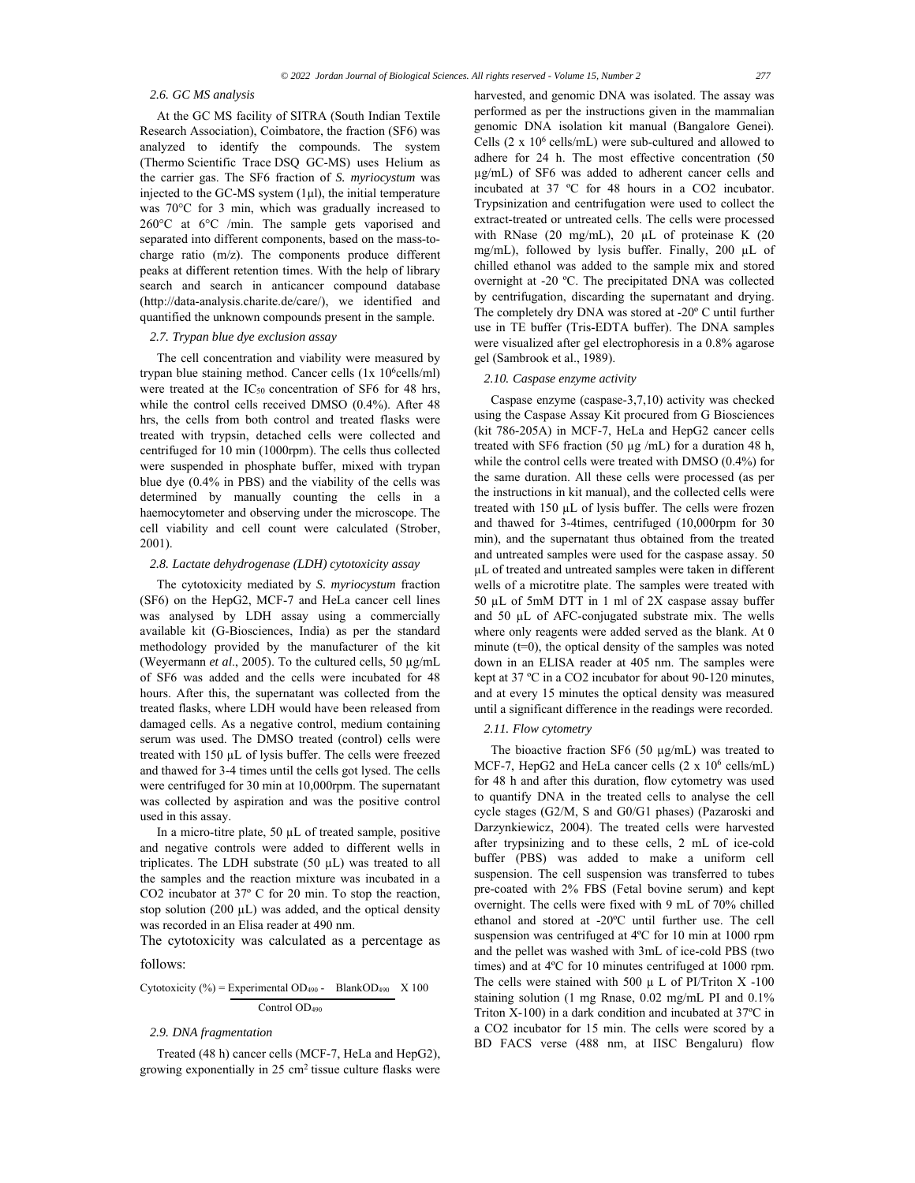## *2.6. GC MS analysis*

At the GC MS facility of SITRA (South Indian Textile Research Association), Coimbatore, the fraction (SF6) was analyzed to identify the compounds. The system (Thermo Scientific Trace DSQ GC-MS) uses Helium as the carrier gas. The SF6 fraction of *S. myriocystum* was injected to the GC-MS system  $(1\mu l)$ , the initial temperature was 70°C for 3 min, which was gradually increased to 260°C at 6°C /min. The sample gets vaporised and separated into different components, based on the mass-tocharge ratio (m/z). The components produce different peaks at different retention times. With the help of library search and search in anticancer compound database (http://data-analysis.charite.de/care/), we identified and quantified the unknown compounds present in the sample.

## *2.7. Trypan blue dye exclusion assay*

The cell concentration and viability were measured by trypan blue staining method. Cancer cells  $(1x 10<sup>6</sup>$ cells/ml) were treated at the  $IC_{50}$  concentration of SF6 for 48 hrs, while the control cells received DMSO (0.4%). After 48 hrs, the cells from both control and treated flasks were treated with trypsin, detached cells were collected and centrifuged for 10 min (1000rpm). The cells thus collected were suspended in phosphate buffer, mixed with trypan blue dye (0.4% in PBS) and the viability of the cells was determined by manually counting the cells in a haemocytometer and observing under the microscope. The cell viability and cell count were calculated (Strober, 2001).

## *2.8. Lactate dehydrogenase (LDH) cytotoxicity assay*

The cytotoxicity mediated by *S. myriocystum* fraction (SF6) on the HepG2, MCF-7 and HeLa cancer cell lines was analysed by LDH assay using a commercially available kit (G-Biosciences, India) as per the standard methodology provided by the manufacturer of the kit (Weyermann *et al*., 2005). To the cultured cells, 50 µg/mL of SF6 was added and the cells were incubated for 48 hours. After this, the supernatant was collected from the treated flasks, where LDH would have been released from damaged cells. As a negative control, medium containing serum was used. The DMSO treated (control) cells were treated with 150 µL of lysis buffer. The cells were freezed and thawed for 3-4 times until the cells got lysed. The cells were centrifuged for 30 min at 10,000rpm. The supernatant was collected by aspiration and was the positive control used in this assay.

In a micro-titre plate, 50 µL of treated sample, positive and negative controls were added to different wells in triplicates. The LDH substrate (50 µL) was treated to all the samples and the reaction mixture was incubated in a CO2 incubator at 37º C for 20 min. To stop the reaction, stop solution (200  $\mu$ L) was added, and the optical density was recorded in an Elisa reader at 490 nm.

The cytotoxicity was calculated as a percentage as follows:

# Cytotoxicity (%) = Experimental OD<sub>490</sub> - BlankOD<sub>490</sub>  $\ X 100$ Control OD490

## *2.9. DNA fragmentation*

Treated (48 h) cancer cells (MCF-7, HeLa and HepG2), growing exponentially in  $25 \text{ cm}^2$  tissue culture flasks were harvested, and genomic DNA was isolated. The assay was performed as per the instructions given in the mammalian genomic DNA isolation kit manual (Bangalore Genei). Cells  $(2 \times 10^6 \text{ cells/mL})$  were sub-cultured and allowed to adhere for 24 h. The most effective concentration (50 µg/mL) of SF6 was added to adherent cancer cells and incubated at 37 ºC for 48 hours in a CO2 incubator. Trypsinization and centrifugation were used to collect the extract-treated or untreated cells. The cells were processed with RNase (20 mg/mL), 20 µL of proteinase K (20 mg/mL), followed by lysis buffer. Finally, 200 µL of chilled ethanol was added to the sample mix and stored overnight at -20 ºC. The precipitated DNA was collected by centrifugation, discarding the supernatant and drying. The completely dry DNA was stored at -20º C until further use in TE buffer (Tris-EDTA buffer). The DNA samples were visualized after gel electrophoresis in a 0.8% agarose gel (Sambrook et al., 1989).

## *2.10. Caspase enzyme activity*

Caspase enzyme (caspase-3,7,10) activity was checked using the Caspase Assay Kit procured from G Biosciences (kit 786-205A) in MCF-7, HeLa and HepG2 cancer cells treated with SF6 fraction (50 µg /mL) for a duration 48 h, while the control cells were treated with DMSO (0.4%) for the same duration. All these cells were processed (as per the instructions in kit manual), and the collected cells were treated with 150 µL of lysis buffer. The cells were frozen and thawed for 3-4times, centrifuged (10,000rpm for 30 min), and the supernatant thus obtained from the treated and untreated samples were used for the caspase assay. 50 µL of treated and untreated samples were taken in different wells of a microtitre plate. The samples were treated with 50 µL of 5mM DTT in 1 ml of 2X caspase assay buffer and 50 µL of AFC-conjugated substrate mix. The wells where only reagents were added served as the blank. At 0 minute  $(t=0)$ , the optical density of the samples was noted down in an ELISA reader at 405 nm. The samples were kept at 37 ºC in a CO2 incubator for about 90-120 minutes, and at every 15 minutes the optical density was measured until a significant difference in the readings were recorded.

## *2.11. Flow cytometry*

The bioactive fraction SF6 (50  $\mu$ g/mL) was treated to MCF-7, HepG2 and HeLa cancer cells  $(2 \times 10^6 \text{ cells/mL})$ for 48 h and after this duration, flow cytometry was used to quantify DNA in the treated cells to analyse the cell cycle stages (G2/M, S and G0/G1 phases) (Pazaroski and Darzynkiewicz, 2004). The treated cells were harvested after trypsinizing and to these cells, 2 mL of ice-cold buffer (PBS) was added to make a uniform cell suspension. The cell suspension was transferred to tubes pre-coated with 2% FBS (Fetal bovine serum) and kept overnight. The cells were fixed with 9 mL of 70% chilled ethanol and stored at -20ºC until further use. The cell suspension was centrifuged at 4ºC for 10 min at 1000 rpm and the pellet was washed with 3mL of ice-cold PBS (two times) and at 4ºC for 10 minutes centrifuged at 1000 rpm. The cells were stained with 500  $\mu$  L of PI/Triton X -100 staining solution (1 mg Rnase, 0.02 mg/mL PI and 0.1% Triton X-100) in a dark condition and incubated at 37ºC in a CO2 incubator for 15 min. The cells were scored by a BD FACS verse (488 nm, at IISC Bengaluru) flow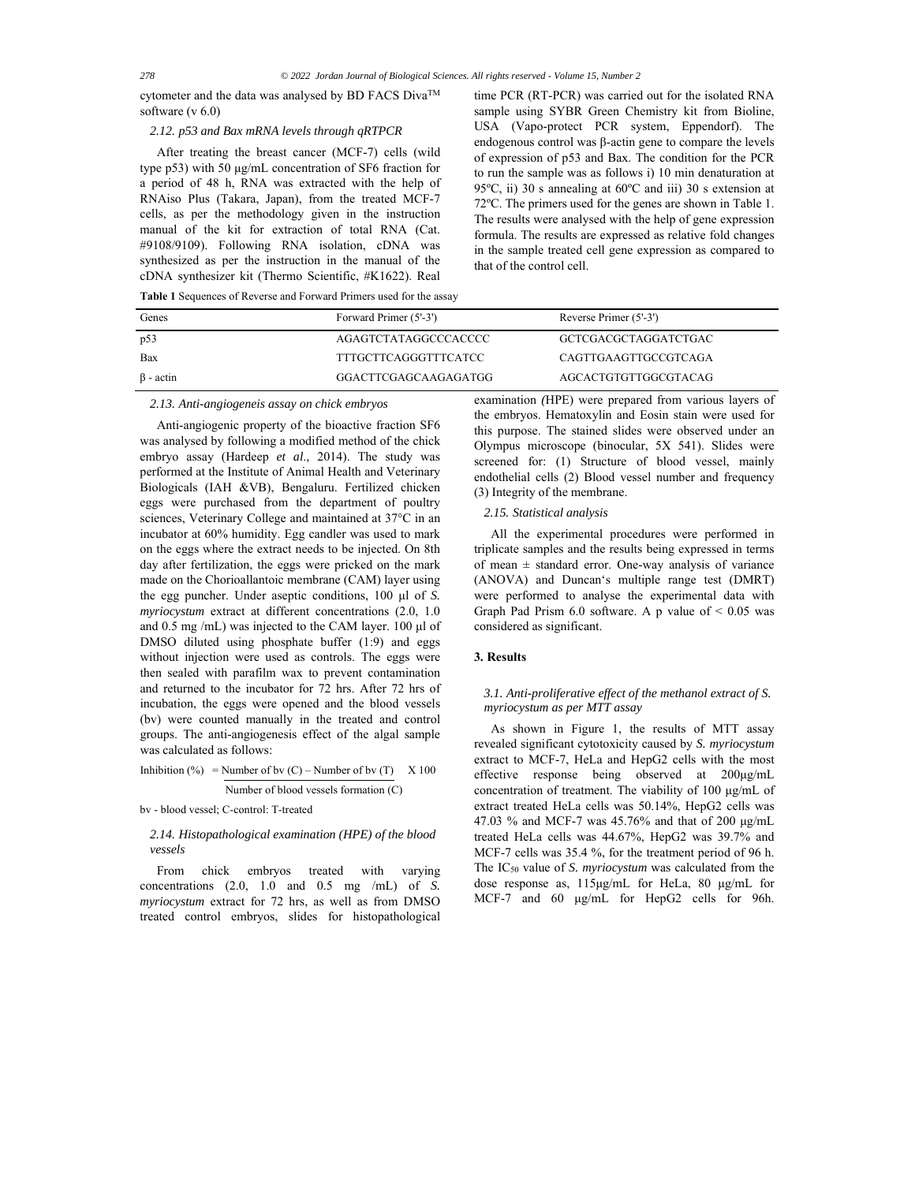cytometer and the data was analysed by BD FACS Diva™ software (v 6.0)

# *2.12. p53 and Bax mRNA levels through qRTPCR*

After treating the breast cancer (MCF-7) cells (wild type p53) with 50 μg/mL concentration of SF6 fraction for a period of 48 h, RNA was extracted with the help of RNAiso Plus (Takara, Japan), from the treated MCF-7 cells, as per the methodology given in the instruction manual of the kit for extraction of total RNA (Cat. #9108/9109). Following RNA isolation, cDNA was synthesized as per the instruction in the manual of the cDNA synthesizer kit (Thermo Scientific, #K1622). Real time PCR (RT-PCR) was carried out for the isolated RNA sample using SYBR Green Chemistry kit from Bioline, USA (Vapo-protect PCR system, Eppendorf). The endogenous control was β-actin gene to compare the levels of expression of p53 and Bax. The condition for the PCR to run the sample was as follows i) 10 min denaturation at 95ºC, ii) 30 s annealing at 60ºC and iii) 30 s extension at 72ºC. The primers used for the genes are shown in Table 1. The results were analysed with the help of gene expression formula. The results are expressed as relative fold changes in the sample treated cell gene expression as compared to that of the control cell.

| Genes           | Forward Primer (5'-3') | Reverse Primer (5'-3') |
|-----------------|------------------------|------------------------|
| p53             | AGAGTCTATAGGCCCACCCC   | GCTCGACGCTAGGATCTGAC   |
| Bax             | TTTGCTTCAGGGTTTCATCC   | CAGTTGAAGTTGCCGTCAGA   |
| $\beta$ - actin | GGACTTCGAGCAAGAGATGG   | AGCACTGTGTTGGCGTACAG   |

*2.13. Anti-angiogeneis assay on chick embryos* 

Anti-angiogenic property of the bioactive fraction SF6 was analysed by following a modified method of the chick embryo assay (Hardeep *et al*., 2014). The study was performed at the Institute of Animal Health and Veterinary Biologicals (IAH &VB), Bengaluru. Fertilized chicken eggs were purchased from the department of poultry sciences, Veterinary College and maintained at 37°C in an incubator at 60% humidity. Egg candler was used to mark on the eggs where the extract needs to be injected. On 8th day after fertilization, the eggs were pricked on the mark made on the Chorioallantoic membrane (CAM) layer using the egg puncher. Under aseptic conditions, 100 μl of *S. myriocystum* extract at different concentrations (2.0, 1.0 and 0.5 mg /mL) was injected to the CAM layer. 100 μl of DMSO diluted using phosphate buffer (1:9) and eggs without injection were used as controls. The eggs were then sealed with parafilm wax to prevent contamination and returned to the incubator for 72 hrs. After 72 hrs of incubation, the eggs were opened and the blood vessels (bv) were counted manually in the treated and control groups. The anti-angiogenesis effect of the algal sample was calculated as follows:

Inhibition (%) = Number of bv (C) – Number of bv (T) X 100 Number of blood vessels formation (C)

bv - blood vessel; C-control: T-treated

# *2.14. Histopathological examination (HPE) of the blood vessels*

From chick embryos treated with varying concentrations (2.0, 1.0 and 0.5 mg /mL) of *S. myriocystum* extract for 72 hrs, as well as from DMSO treated control embryos, slides for histopathological

examination *(*HPE) were prepared from various layers of the embryos. Hematoxylin and Eosin stain were used for this purpose. The stained slides were observed under an Olympus microscope (binocular, 5X 541). Slides were screened for: (1) Structure of blood vessel, mainly endothelial cells (2) Blood vessel number and frequency (3) Integrity of the membrane.

*2.15. Statistical analysis* 

All the experimental procedures were performed in triplicate samples and the results being expressed in terms of mean  $\pm$  standard error. One-way analysis of variance (ANOVA) and Duncan's multiple range test (DMRT) were performed to analyse the experimental data with Graph Pad Prism  $6.0$  software. A p value of  $\leq 0.05$  was considered as significant.

## **3. Results**

# *3.1. Anti-proliferative effect of the methanol extract of S. myriocystum as per MTT assay*

As shown in Figure 1, the results of MTT assay revealed significant cytotoxicity caused by *S. myriocystum*  extract to MCF-7, HeLa and HepG2 cells with the most effective response being observed at 200μg/mL concentration of treatment. The viability of 100 μg/mL of extract treated HeLa cells was 50.14%, HepG2 cells was 47.03 % and MCF-7 was 45.76% and that of 200 μg/mL treated HeLa cells was 44.67%, HepG2 was 39.7% and MCF-7 cells was 35.4 %, for the treatment period of 96 h. The IC50 value of *S. myriocystum* was calculated from the dose response as, 115μg/mL for HeLa, 80 μg/mL for MCF-7 and 60 μg/mL for HepG2 cells for 96h.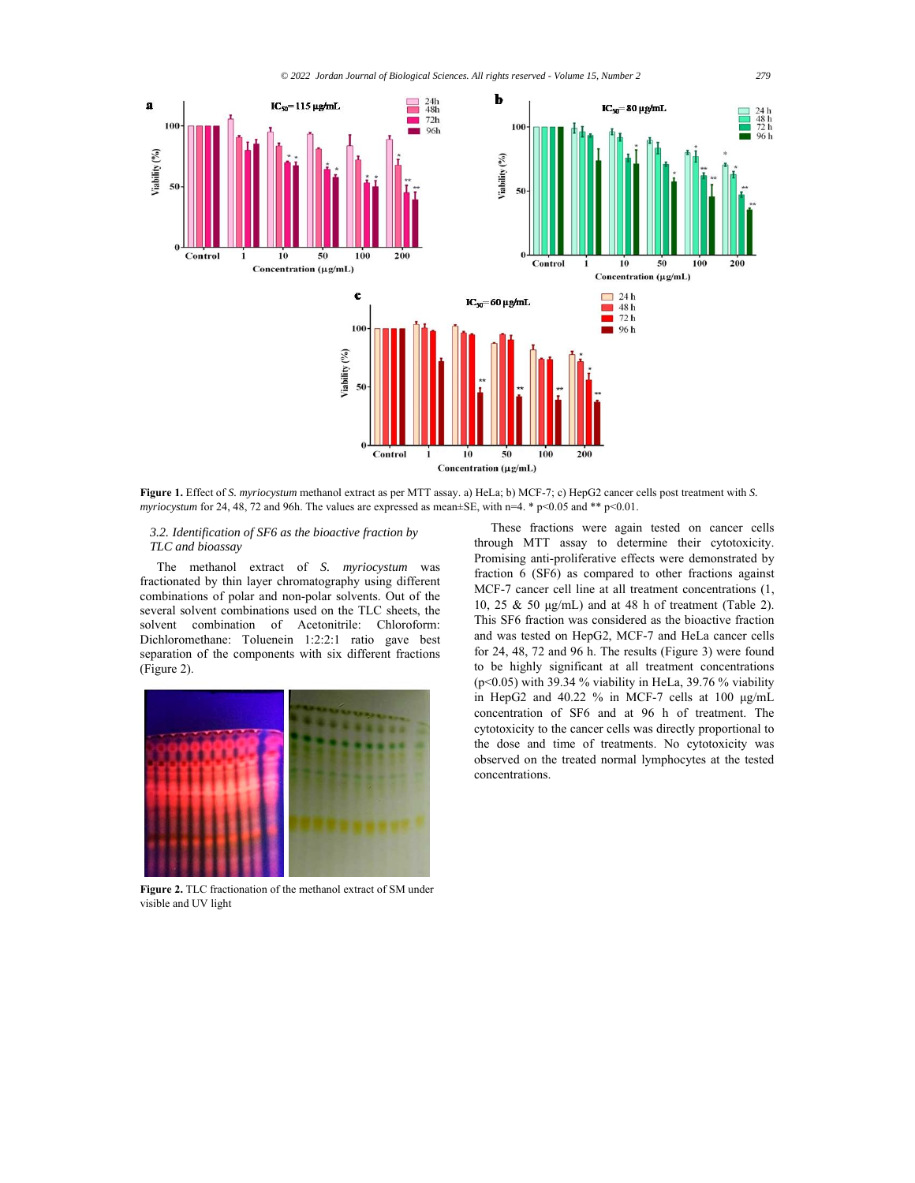

**Figure 1.** Effect of *S. myriocystum* methanol extract as per MTT assay. a) HeLa; b) MCF-7; c) HepG2 cancer cells post treatment with *S. myriocystum* for 24, 48, 72 and 96h. The values are expressed as mean±SE, with n=4.  $*$  p<0.05 and  $**$  p<0.01.

## *3.2. Identification of SF6 as the bioactive fraction by TLC and bioassay*

The methanol extract of *S. myriocystum* was fractionated by thin layer chromatography using different combinations of polar and non-polar solvents. Out of the several solvent combinations used on the TLC sheets, the solvent combination of Acetonitrile: Chloroform: Dichloromethane: Toluenein 1:2:2:1 ratio gave best separation of the components with six different fractions (Figure 2).



**Figure 2.** TLC fractionation of the methanol extract of SM under visible and UV light

These fractions were again tested on cancer cells through MTT assay to determine their cytotoxicity. Promising anti-proliferative effects were demonstrated by fraction 6 (SF6) as compared to other fractions against MCF-7 cancer cell line at all treatment concentrations (1, 10, 25 & 50 μg/mL) and at 48 h of treatment (Table 2). This SF6 fraction was considered as the bioactive fraction and was tested on HepG2, MCF-7 and HeLa cancer cells for 24, 48, 72 and 96 h. The results (Figure 3) were found to be highly significant at all treatment concentrations ( $p$ <0.05) with 39.34 % viability in HeLa, 39.76 % viability in HepG2 and 40.22 % in MCF-7 cells at 100 μg/mL concentration of SF6 and at 96 h of treatment. The cytotoxicity to the cancer cells was directly proportional to the dose and time of treatments. No cytotoxicity was observed on the treated normal lymphocytes at the tested concentrations.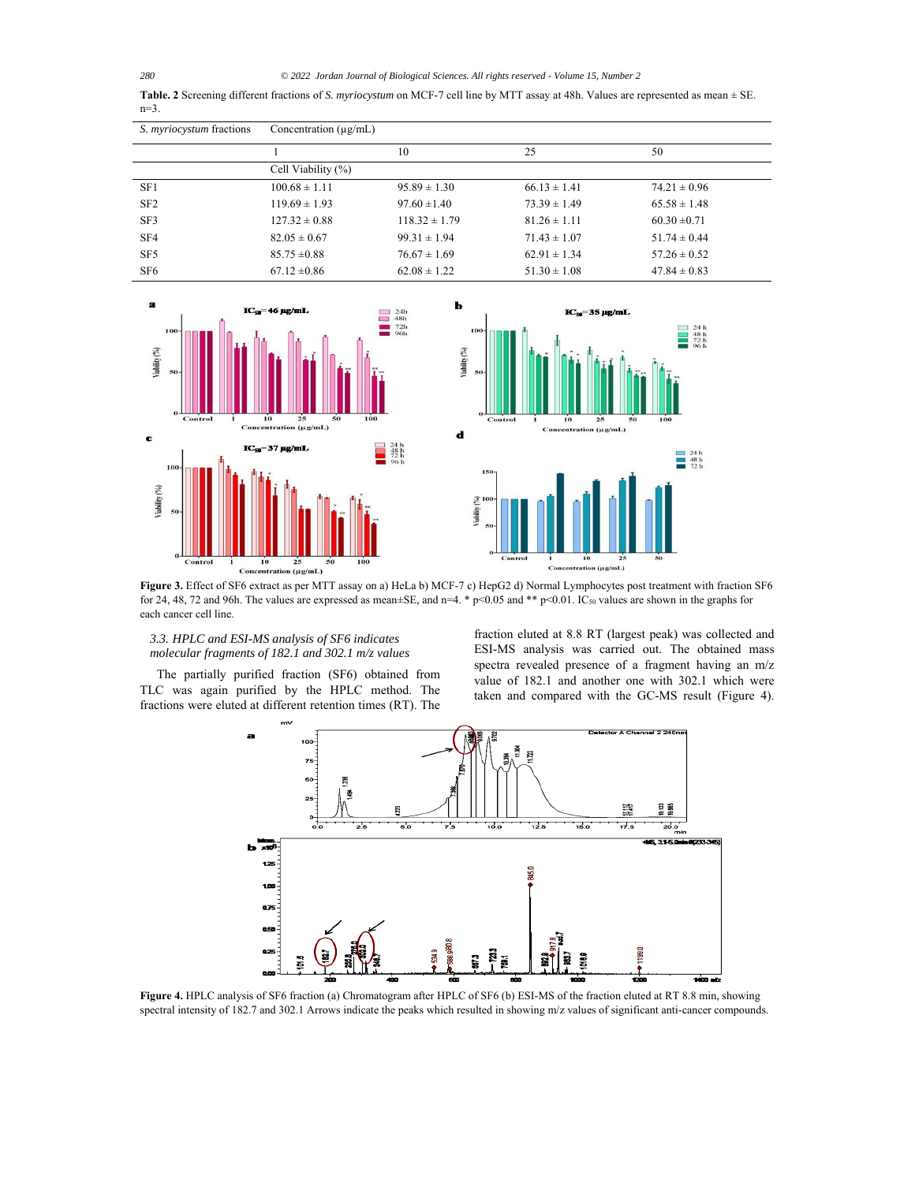*280 © 2022 Jordan Journal of Biological Sciences. All rights reserved - Volume 15, Number 2*

**Table. 2** Screening different fractions of *S. myriocystum* on MCF-7 cell line by MTT assay at 48h. Values are represented as mean ± SE. n=3.

| S. <i>myriocystum</i> fractions | Concentration $(\mu g/mL)$ |                   |                  |                  |
|---------------------------------|----------------------------|-------------------|------------------|------------------|
|                                 |                            | 10                | 25               | 50               |
|                                 | Cell Viability (%)         |                   |                  |                  |
| SF1                             | $100.68 \pm 1.11$          | $95.89 \pm 1.30$  | $66.13 \pm 1.41$ | $74.21 \pm 0.96$ |
| SF <sub>2</sub>                 | $119.69 \pm 1.93$          | $97.60 \pm 1.40$  | $73.39 \pm 1.49$ | $65.58 \pm 1.48$ |
| SF3                             | $127.32 \pm 0.88$          | $118.32 \pm 1.79$ | $81.26 \pm 1.11$ | $60.30 \pm 0.71$ |
| SF4                             | $82.05 \pm 0.67$           | $99.31 \pm 1.94$  | $71.43 \pm 1.07$ | $51.74 \pm 0.44$ |
| SF <sub>5</sub>                 | $85.75 \pm 0.88$           | $76.67 \pm 1.69$  | $62.91 \pm 1.34$ | $57.26 \pm 0.52$ |
| SF <sub>6</sub>                 | $67.12 \pm 0.86$           | $62.08 \pm 1.22$  | $51.30 \pm 1.08$ | $47.84 \pm 0.83$ |



**Figure 3.** Effect of SF6 extract as per MTT assay on a) HeLa b) MCF-7 c) HepG2 d) Normal Lymphocytes post treatment with fraction SF6 for 24, 48, 72 and 96h. The values are expressed as mean±SE, and n=4. \* p<0.05 and \*\* p<0.01. IC50 values are shown in the graphs for each cancer cell line.

# *3.3. HPLC and ESI-MS analysis of SF6 indicates molecular fragments of 182.1 and 302.1 m/z values*

The partially purified fraction (SF6) obtained from TLC was again purified by the HPLC method. The fractions were eluted at different retention times (RT). The

fraction eluted at 8.8 RT (largest peak) was collected and ESI-MS analysis was carried out. The obtained mass spectra revealed presence of a fragment having an m/z value of 182.1 and another one with 302.1 which were taken and compared with the GC-MS result (Figure 4).



**Figure 4.** HPLC analysis of SF6 fraction (a) Chromatogram after HPLC of SF6 (b) ESI-MS of the fraction eluted at RT 8.8 min, showing spectral intensity of 182.7 and 302.1 Arrows indicate the peaks which resulted in showing m/z values of significant anti-cancer compounds.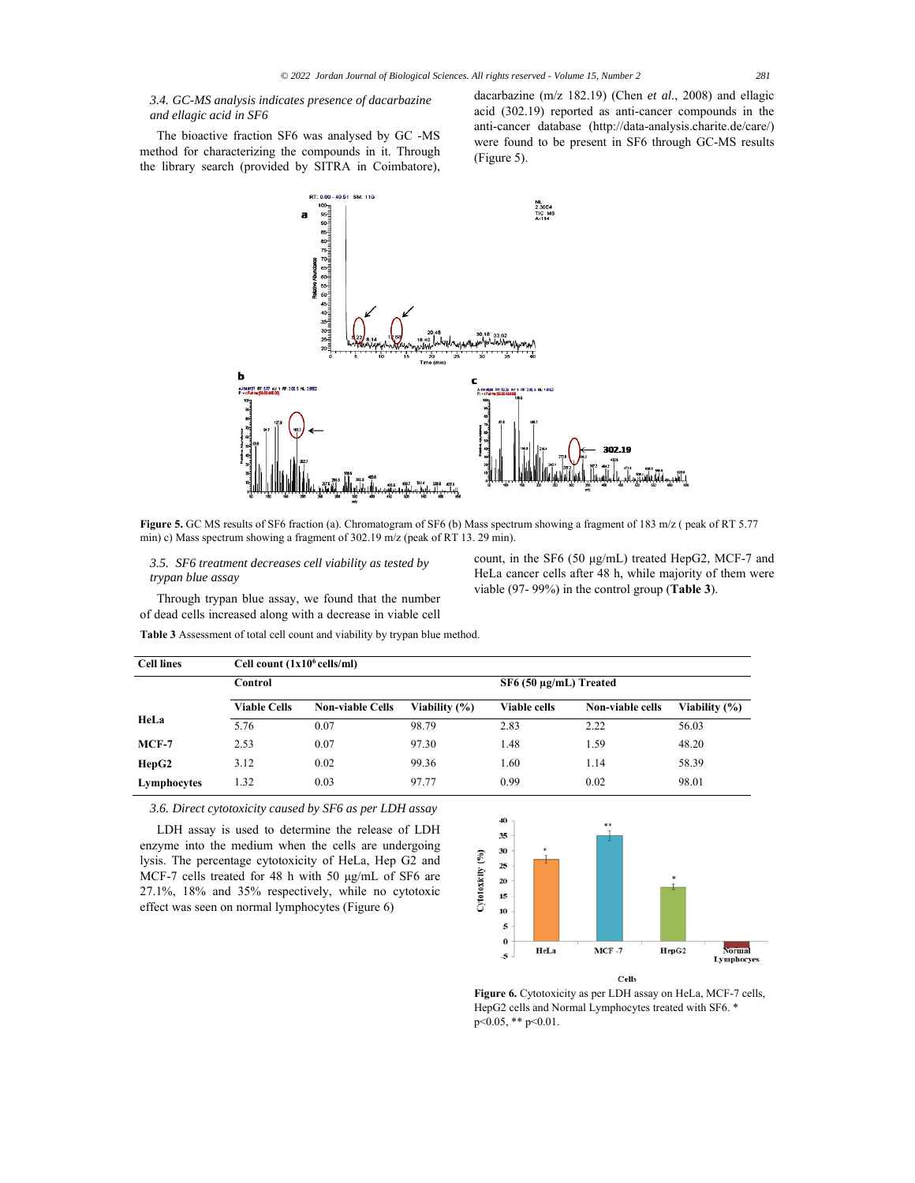*3.4. GC-MS analysis indicates presence of dacarbazine and ellagic acid in SF6*

The bioactive fraction SF6 was analysed by GC -MS method for characterizing the compounds in it. Through the library search (provided by SITRA in Coimbatore), dacarbazine (m/z 182.19) (Chen *et al*., 2008) and ellagic acid (302.19) reported as anti-cancer compounds in the anti-cancer database (http://data-analysis.charite.de/care/) were found to be present in SF6 through GC-MS results (Figure 5).



**Figure 5.** GC MS results of SF6 fraction (a). Chromatogram of SF6 (b) Mass spectrum showing a fragment of 183 m/z ( peak of RT 5.77 min) c) Mass spectrum showing a fragment of 302.19 m/z (peak of RT 13. 29 min).

*3.5. SF6 treatment decreases cell viability as tested by trypan blue assay* 

Through trypan blue assay, we found that the number of dead cells increased along with a decrease in viable cell count, in the SF6 (50 μg/mL) treated HepG2, MCF-7 and HeLa cancer cells after 48 h, while majority of them were viable (97- 99%) in the control group (**Table 3**).

**Table 3** Assessment of total cell count and viability by trypan blue method.

| <b>Cell lines</b> | Cell count $(1x10^6 \text{ cells/ml})$ |                         |               |                            |                  |               |
|-------------------|----------------------------------------|-------------------------|---------------|----------------------------|------------------|---------------|
|                   | Control                                |                         |               | $SF6(50 \mu g/mL)$ Treated |                  |               |
|                   | <b>Viable Cells</b>                    | <b>Non-viable Cells</b> | Viability (%) | <b>Viable cells</b>        | Non-viable cells | Viability (%) |
| HeLa              | 5.76                                   | 0.07                    | 98.79         | 2.83                       | 2.22             | 56.03         |
| $MCF-7$           | 2.53                                   | 0.07                    | 97.30         | 1.48                       | 1.59             | 48.20         |
| HepG2             | 3.12                                   | 0.02                    | 99.36         | 1.60                       | 1.14             | 58.39         |
| Lymphocytes       | 1.32                                   | 0.03                    | 97.77         | 0.99                       | 0.02             | 98.01         |

*3.6. Direct cytotoxicity caused by SF6 as per LDH assay* 

LDH assay is used to determine the release of LDH enzyme into the medium when the cells are undergoing lysis. The percentage cytotoxicity of HeLa, Hep G2 and MCF-7 cells treated for 48 h with 50 μg/mL of SF6 are 27.1%, 18% and 35% respectively, while no cytotoxic effect was seen on normal lymphocytes (Figure 6)



**Figure 6.** Cytotoxicity as per LDH assay on HeLa, MCF-7 cells, HepG2 cells and Normal Lymphocytes treated with SF6. \*  $p<0.05$ , \*\*  $p<0.01$ .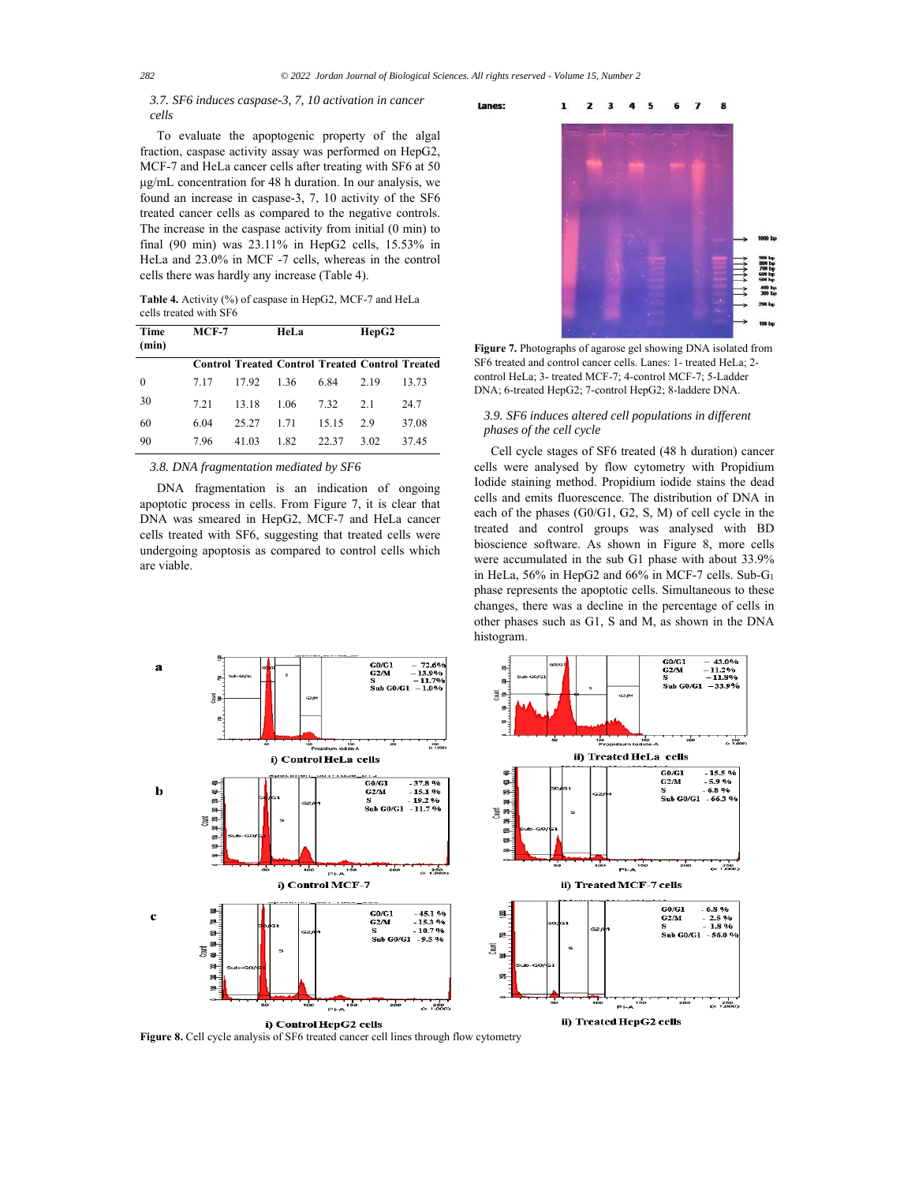Lanes:

# *3.7. SF6 induces caspase-3, 7, 10 activation in cancer cells*

To evaluate the apoptogenic property of the algal fraction, caspase activity assay was performed on HepG2, MCF-7 and HeLa cancer cells after treating with SF6 at 50 μg/mL concentration for 48 h duration. In our analysis, we found an increase in caspase-3, 7, 10 activity of the SF6 treated cancer cells as compared to the negative controls. The increase in the caspase activity from initial (0 min) to final (90 min) was 23.11% in HepG2 cells, 15.53% in HeLa and 23.0% in MCF -7 cells, whereas in the control cells there was hardly any increase (Table 4).

**Table 4.** Activity (%) of caspase in HepG2, MCF-7 and HeLa cells treated with SF6

| Time<br>(min) | $MCF-7$ |                                                        | HeLa |       | HepG2 |       |
|---------------|---------|--------------------------------------------------------|------|-------|-------|-------|
|               |         | <b>Control Treated Control Treated Control Treated</b> |      |       |       |       |
| $\theta$      | 7.17    | 17.92                                                  | 1.36 | 6.84  | 2.19  | 13.73 |
| 30            | 7.21    | 13.18                                                  | 1.06 | 7.32  | 2.1   | 24.7  |
| 60            | 6.04    | 25.27                                                  | 1.71 | 15.15 | 2.9   | 37.08 |
| 90            | 7.96    | 41.03                                                  | 1.82 | 22.37 | 3.02  | 37.45 |

## *3.8. DNA fragmentation mediated by SF6*

DNA fragmentation is an indication of ongoing apoptotic process in cells. From Figure 7, it is clear that DNA was smeared in HepG2, MCF-7 and HeLa cancer cells treated with SF6, suggesting that treated cells were undergoing apoptosis as compared to control cells which are viable.



**Figure 7.** Photographs of agarose gel showing DNA isolated from SF6 treated and control cancer cells. Lanes: 1- treated HeLa; 2 control HeLa; 3- treated MCF-7; 4-control MCF-7; 5-Ladder DNA; 6-treated HepG2; 7-control HepG2; 8-laddere DNA.

# *3.9. SF6 induces altered cell populations in different phases of the cell cycle*

Cell cycle stages of SF6 treated (48 h duration) cancer cells were analysed by flow cytometry with Propidium Iodide staining method. Propidium iodide stains the dead cells and emits fluorescence. The distribution of DNA in each of the phases (G0/G1, G2, S, M) of cell cycle in the treated and control groups was analysed with BD bioscience software. As shown in Figure 8, more cells were accumulated in the sub G1 phase with about 33.9% in HeLa, 56% in HepG2 and 66% in MCF-7 cells. Sub-G1 phase represents the apoptotic cells. Simultaneous to these changes, there was a decline in the percentage of cells in other phases such as G1, S and M, as shown in the DNA histogram.



**Figure 8.** Cell cycle analysis of SF6 treated cancer cell lines through flow cytometry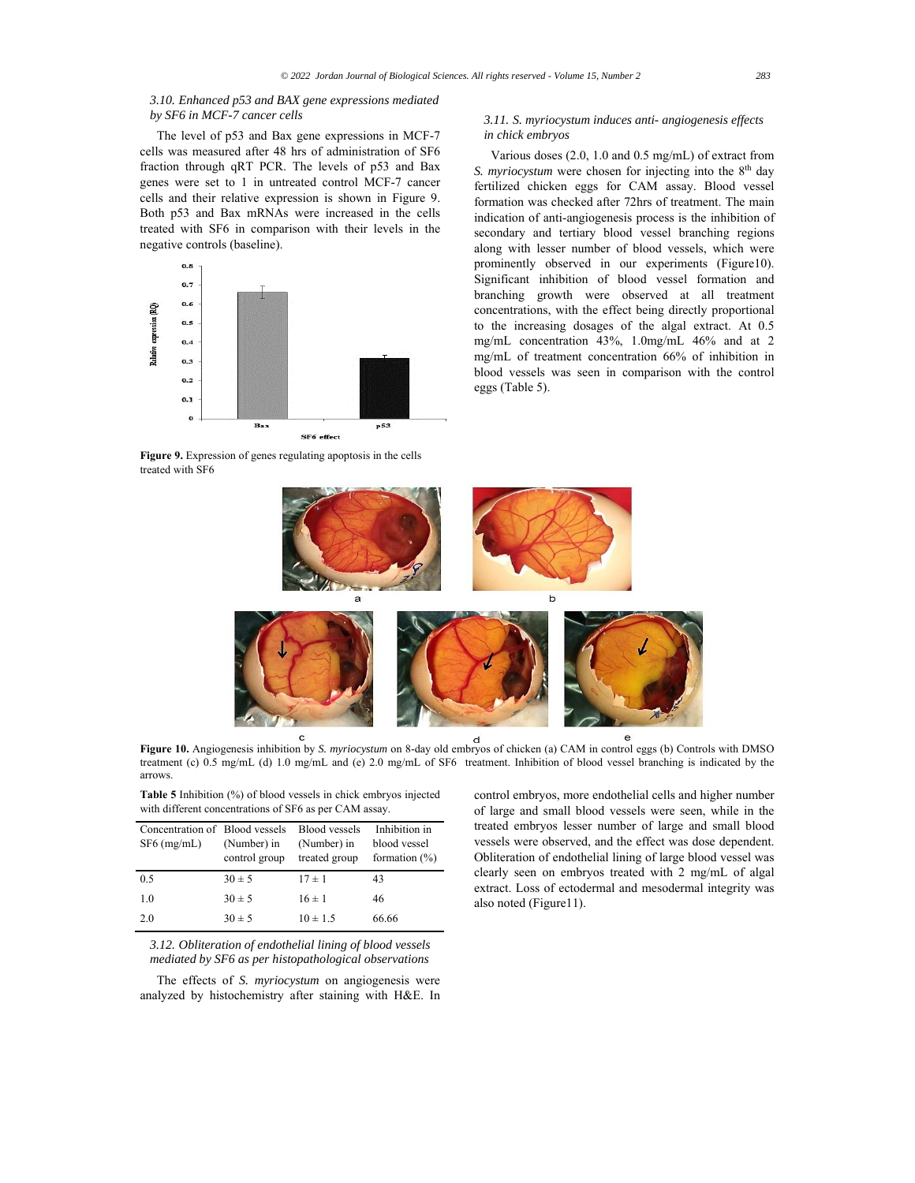# *3.10. Enhanced p53 and BAX gene expressions mediated by SF6 in MCF-7 cancer cells*

The level of p53 and Bax gene expressions in MCF-7 cells was measured after 48 hrs of administration of SF6 fraction through qRT PCR. The levels of p53 and Bax genes were set to 1 in untreated control MCF-7 cancer cells and their relative expression is shown in Figure 9. Both p53 and Bax mRNAs were increased in the cells treated with SF6 in comparison with their levels in the negative controls (baseline).



**Figure 9.** Expression of genes regulating apoptosis in the cells treated with SF6

## *3.11. S. myriocystum induces anti- angiogenesis effects in chick embryos*

Various doses (2.0, 1.0 and 0.5 mg/mL) of extract from *S. myriocystum* were chosen for injecting into the 8<sup>th</sup> day fertilized chicken eggs for CAM assay. Blood vessel formation was checked after 72hrs of treatment. The main indication of anti-angiogenesis process is the inhibition of secondary and tertiary blood vessel branching regions along with lesser number of blood vessels, which were prominently observed in our experiments (Figure10). Significant inhibition of blood vessel formation and branching growth were observed at all treatment concentrations, with the effect being directly proportional to the increasing dosages of the algal extract. At 0.5 mg/mL concentration 43%, 1.0mg/mL 46% and at 2 mg/mL of treatment concentration 66% of inhibition in blood vessels was seen in comparison with the control eggs (Table 5).



**Figure 10.** Angiogenesis inhibition by *S. myriocystum* on 8-day old embryos of chicken (a) CAM in control eggs (b) Controls with DMSO treatment (c) 0.5 mg/mL (d) 1.0 mg/mL and (e) 2.0 mg/mL of SF6 treatment. Inhibition of blood vessel branching is indicated by the arrows.

**Table 5** Inhibition (%) of blood vessels in chick embryos injected with different concentrations of SF6 as per CAM assay.

| Concentration of Blood vessels<br>$SF6$ (mg/mL) | (Number) in<br>control group | <b>Blood vessels</b><br>(Number) in<br>treated group | Inhibition in<br>blood vessel<br>formation $(\%)$ |
|-------------------------------------------------|------------------------------|------------------------------------------------------|---------------------------------------------------|
| 0.5                                             | $30 \pm 5$                   | $17 \pm 1$                                           | 43                                                |
| 1.0                                             | $30 \pm 5$                   | $16 \pm 1$                                           | 46                                                |
| 2.0                                             | $30 \pm 5$                   | $10 \pm 1.5$                                         | 66.66                                             |

*3.12. Obliteration of endothelial lining of blood vessels mediated by SF6 as per histopathological observations* 

The effects of *S. myriocystum* on angiogenesis were analyzed by histochemistry after staining with H&E. In

control embryos, more endothelial cells and higher number of large and small blood vessels were seen, while in the treated embryos lesser number of large and small blood vessels were observed, and the effect was dose dependent. Obliteration of endothelial lining of large blood vessel was clearly seen on embryos treated with 2 mg/mL of algal extract. Loss of ectodermal and mesodermal integrity was also noted (Figure11).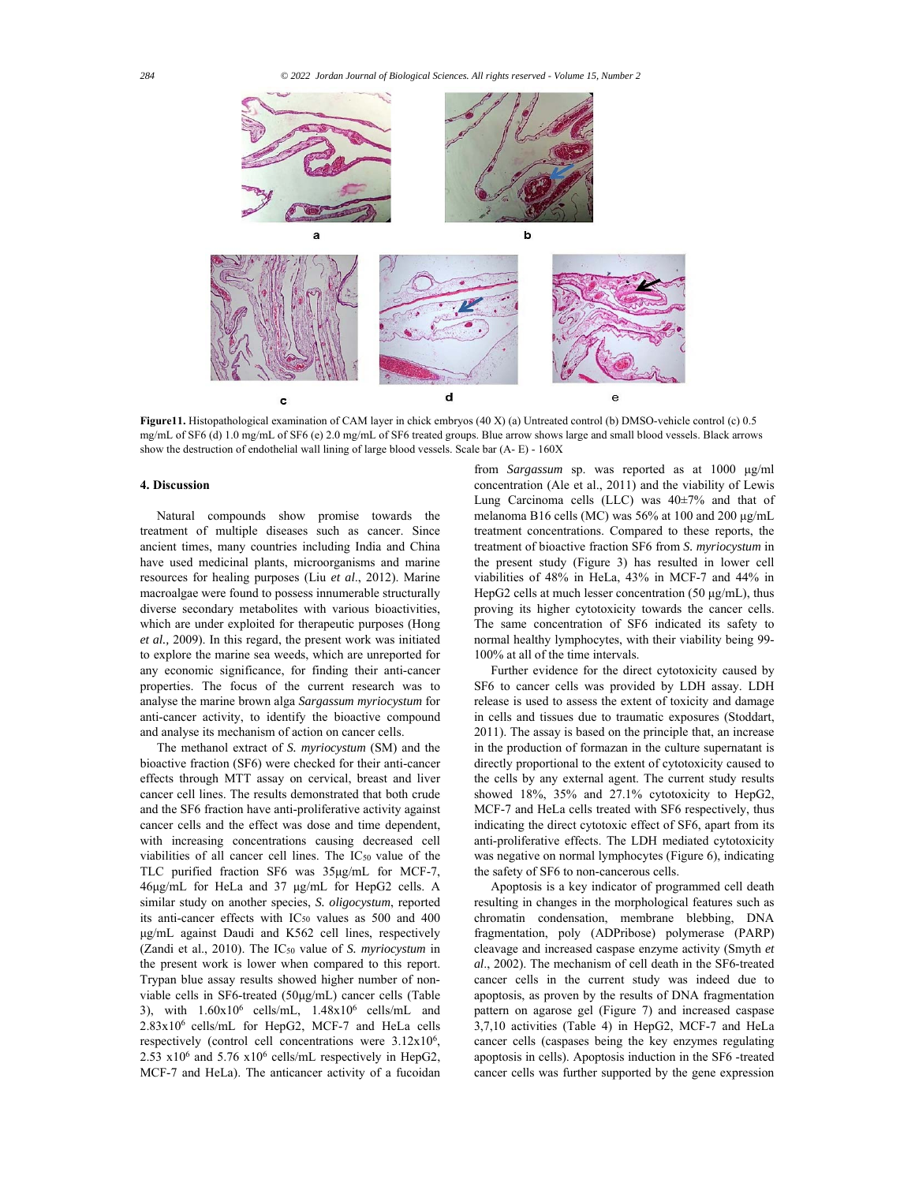

**Figure11.** Histopathological examination of CAM layer in chick embryos (40 X) (a) Untreated control (b) DMSO-vehicle control (c) 0.5 mg/mL of SF6 (d) 1.0 mg/mL of SF6 (e) 2.0 mg/mL of SF6 treated groups. Blue arrow shows large and small blood vessels. Black arrows show the destruction of endothelial wall lining of large blood vessels. Scale bar (A- E) - 160X

# **4. Discussion**

Natural compounds show promise towards the treatment of multiple diseases such as cancer. Since ancient times, many countries including India and China have used medicinal plants, microorganisms and marine resources for healing purposes (Liu *et al*., 2012). Marine macroalgae were found to possess innumerable structurally diverse secondary metabolites with various bioactivities, which are under exploited for therapeutic purposes (Hong *et al.,* 2009). In this regard, the present work was initiated to explore the marine sea weeds, which are unreported for any economic significance, for finding their anti-cancer properties. The focus of the current research was to analyse the marine brown alga *Sargassum myriocystum* for anti-cancer activity, to identify the bioactive compound and analyse its mechanism of action on cancer cells.

The methanol extract of *S. myriocystum* (SM) and the bioactive fraction (SF6) were checked for their anti-cancer effects through MTT assay on cervical, breast and liver cancer cell lines. The results demonstrated that both crude and the SF6 fraction have anti-proliferative activity against cancer cells and the effect was dose and time dependent, with increasing concentrations causing decreased cell viabilities of all cancer cell lines. The IC50 value of the TLC purified fraction SF6 was 35μg/mL for MCF-7, 46μg/mL for HeLa and 37 μg/mL for HepG2 cells. A similar study on another species, *S. oligocystum*, reported its anti-cancer effects with IC50 values as 500 and 400 μg/mL against Daudi and K562 cell lines, respectively (Zandi et al., 2010). The IC50 value of *S. myriocystum* in the present work is lower when compared to this report. Trypan blue assay results showed higher number of nonviable cells in SF6-treated (50μg/mL) cancer cells (Table 3), with  $1.60x10^6$  cells/mL,  $1.48x10^6$  cells/mL and 2.83x106 cells/mL for HepG2, MCF-7 and HeLa cells respectively (control cell concentrations were  $3.12x10<sup>6</sup>$ , 2.53  $x10^6$  and 5.76  $x10^6$  cells/mL respectively in HepG2, MCF-7 and HeLa). The anticancer activity of a fucoidan

from *Sargassum* sp. was reported as at 1000 μg/ml concentration (Ale et al., 2011) and the viability of Lewis Lung Carcinoma cells (LLC) was 40±7% and that of melanoma B16 cells (MC) was 56% at 100 and 200 μg/mL treatment concentrations. Compared to these reports, the treatment of bioactive fraction SF6 from *S. myriocystum* in the present study (Figure 3) has resulted in lower cell viabilities of 48% in HeLa, 43% in MCF-7 and 44% in HepG2 cells at much lesser concentration (50 μg/mL), thus proving its higher cytotoxicity towards the cancer cells. The same concentration of SF6 indicated its safety to normal healthy lymphocytes, with their viability being 99- 100% at all of the time intervals.

Further evidence for the direct cytotoxicity caused by SF6 to cancer cells was provided by LDH assay. LDH release is used to assess the extent of toxicity and damage in cells and tissues due to traumatic exposures (Stoddart, 2011). The assay is based on the principle that, an increase in the production of formazan in the culture supernatant is directly proportional to the extent of cytotoxicity caused to the cells by any external agent. The current study results showed 18%, 35% and 27.1% cytotoxicity to HepG2, MCF-7 and HeLa cells treated with SF6 respectively, thus indicating the direct cytotoxic effect of SF6, apart from its anti-proliferative effects. The LDH mediated cytotoxicity was negative on normal lymphocytes (Figure 6), indicating the safety of SF6 to non-cancerous cells.

Apoptosis is a key indicator of programmed cell death resulting in changes in the morphological features such as chromatin condensation, membrane blebbing, DNA fragmentation, poly (ADPribose) polymerase (PARP) cleavage and increased caspase enzyme activity (Smyth *et al*., 2002). The mechanism of cell death in the SF6-treated cancer cells in the current study was indeed due to apoptosis, as proven by the results of DNA fragmentation pattern on agarose gel (Figure 7) and increased caspase 3,7,10 activities (Table 4) in HepG2, MCF-7 and HeLa cancer cells (caspases being the key enzymes regulating apoptosis in cells). Apoptosis induction in the SF6 -treated cancer cells was further supported by the gene expression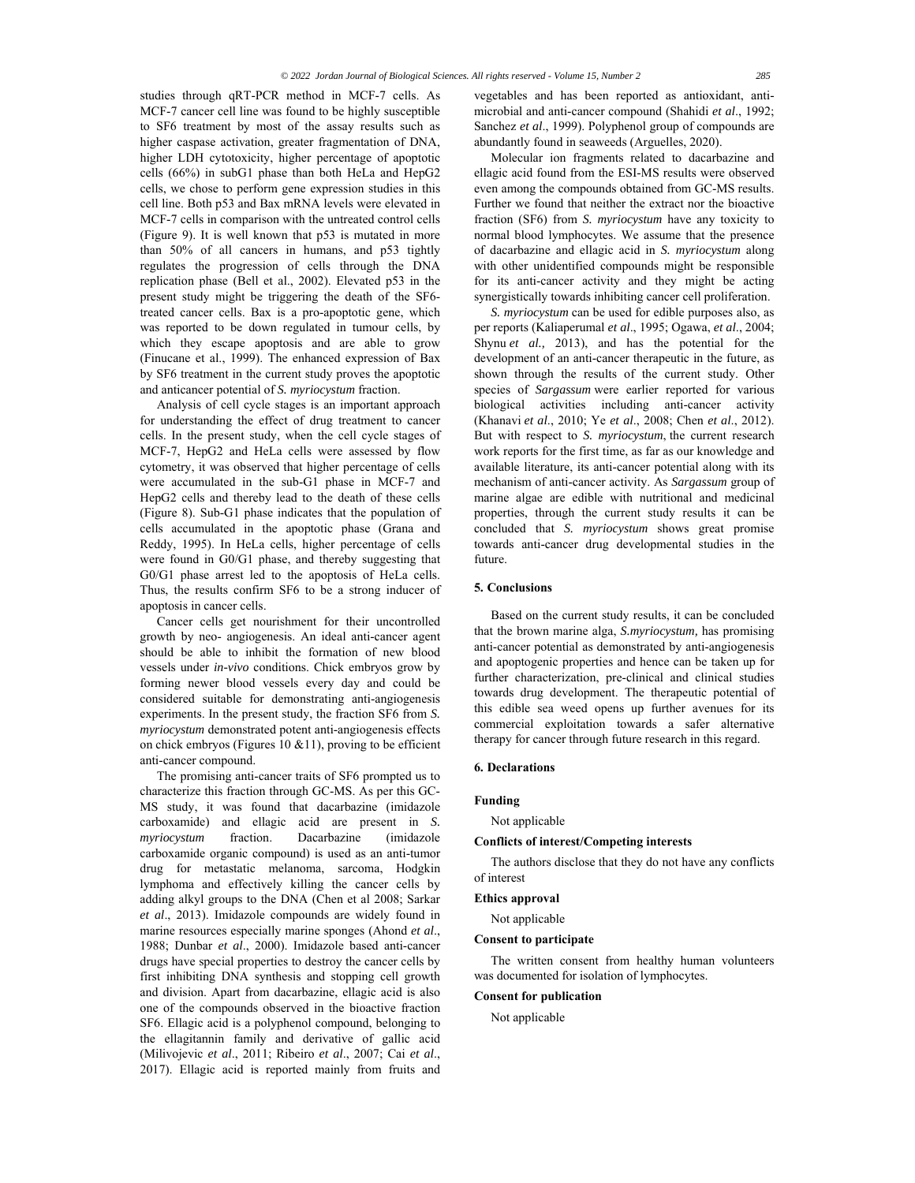studies through qRT-PCR method in MCF-7 cells. As MCF-7 cancer cell line was found to be highly susceptible to SF6 treatment by most of the assay results such as higher caspase activation, greater fragmentation of DNA, higher LDH cytotoxicity, higher percentage of apoptotic cells (66%) in subG1 phase than both HeLa and HepG2 cells, we chose to perform gene expression studies in this cell line. Both p53 and Bax mRNA levels were elevated in MCF-7 cells in comparison with the untreated control cells (Figure 9). It is well known that p53 is mutated in more than 50% of all cancers in humans, and p53 tightly regulates the progression of cells through the DNA replication phase (Bell et al., 2002). Elevated p53 in the present study might be triggering the death of the SF6 treated cancer cells. Bax is a pro-apoptotic gene, which was reported to be down regulated in tumour cells, by which they escape apoptosis and are able to grow (Finucane et al., 1999). The enhanced expression of Bax by SF6 treatment in the current study proves the apoptotic and anticancer potential of *S. myriocystum* fraction.

Analysis of cell cycle stages is an important approach for understanding the effect of drug treatment to cancer cells. In the present study, when the cell cycle stages of MCF-7, HepG2 and HeLa cells were assessed by flow cytometry, it was observed that higher percentage of cells were accumulated in the sub-G1 phase in MCF-7 and HepG2 cells and thereby lead to the death of these cells (Figure 8). Sub-G1 phase indicates that the population of cells accumulated in the apoptotic phase (Grana and Reddy, 1995). In HeLa cells, higher percentage of cells were found in G0/G1 phase, and thereby suggesting that G0/G1 phase arrest led to the apoptosis of HeLa cells. Thus, the results confirm SF6 to be a strong inducer of apoptosis in cancer cells.

Cancer cells get nourishment for their uncontrolled growth by neo- angiogenesis. An ideal anti-cancer agent should be able to inhibit the formation of new blood vessels under *in-vivo* conditions. Chick embryos grow by forming newer blood vessels every day and could be considered suitable for demonstrating anti-angiogenesis experiments. In the present study, the fraction SF6 from *S. myriocystum* demonstrated potent anti-angiogenesis effects on chick embryos (Figures 10 &11), proving to be efficient anti-cancer compound.

The promising anti-cancer traits of SF6 prompted us to characterize this fraction through GC-MS. As per this GC-MS study, it was found that dacarbazine (imidazole carboxamide) and ellagic acid are present in *S. myriocystum* fraction. Dacarbazine (imidazole carboxamide organic compound) is used as an anti-tumor drug for metastatic melanoma, sarcoma, Hodgkin lymphoma and effectively killing the cancer cells by adding alkyl groups to the DNA (Chen et al 2008; Sarkar *et al*., 2013). Imidazole compounds are widely found in marine resources especially marine sponges (Ahond *et al*., 1988; Dunbar *et al*., 2000). Imidazole based anti-cancer drugs have special properties to destroy the cancer cells by first inhibiting DNA synthesis and stopping cell growth and division. Apart from dacarbazine, ellagic acid is also one of the compounds observed in the bioactive fraction SF6. Ellagic acid is a polyphenol compound, belonging to the ellagitannin family and derivative of gallic acid (Milivojevic *et al*., 2011; Ribeiro *et al*., 2007; Cai *et al*., 2017). Ellagic acid is reported mainly from fruits and vegetables and has been reported as antioxidant, antimicrobial and anti-cancer compound (Shahidi *et al*., 1992; Sanchez *et al*., 1999). Polyphenol group of compounds are abundantly found in seaweeds (Arguelles, 2020).

Molecular ion fragments related to dacarbazine and ellagic acid found from the ESI-MS results were observed even among the compounds obtained from GC-MS results. Further we found that neither the extract nor the bioactive fraction (SF6) from *S. myriocystum* have any toxicity to normal blood lymphocytes. We assume that the presence of dacarbazine and ellagic acid in *S. myriocystum* along with other unidentified compounds might be responsible for its anti-cancer activity and they might be acting synergistically towards inhibiting cancer cell proliferation.

*S. myriocystum* can be used for edible purposes also, as per reports (Kaliaperumal *et al*., 1995; Ogawa, *et al*., 2004; Shynu *et al.*, 2013), and has the potential for the development of an anti-cancer therapeutic in the future, as shown through the results of the current study. Other species of *Sargassum* were earlier reported for various biological activities including anti-cancer activity (Khanavi *et al*., 2010; Ye *et al*., 2008; Chen *et al*., 2012). But with respect to *S. myriocystum*, the current research work reports for the first time, as far as our knowledge and available literature, its anti-cancer potential along with its mechanism of anti-cancer activity. As *Sargassum* group of marine algae are edible with nutritional and medicinal properties, through the current study results it can be concluded that *S. myriocystum* shows great promise towards anti-cancer drug developmental studies in the future.

# **5. Conclusions**

Based on the current study results, it can be concluded that the brown marine alga, *S.myriocystum,* has promising anti-cancer potential as demonstrated by anti-angiogenesis and apoptogenic properties and hence can be taken up for further characterization, pre-clinical and clinical studies towards drug development. The therapeutic potential of this edible sea weed opens up further avenues for its commercial exploitation towards a safer alternative therapy for cancer through future research in this regard.

## **6. Declarations**

### **Funding**

Not applicable

## **Conflicts of interest/Competing interests**

The authors disclose that they do not have any conflicts of interest

## **Ethics approval**

Not applicable

## **Consent to participate**

The written consent from healthy human volunteers was documented for isolation of lymphocytes.

## **Consent for publication**

Not applicable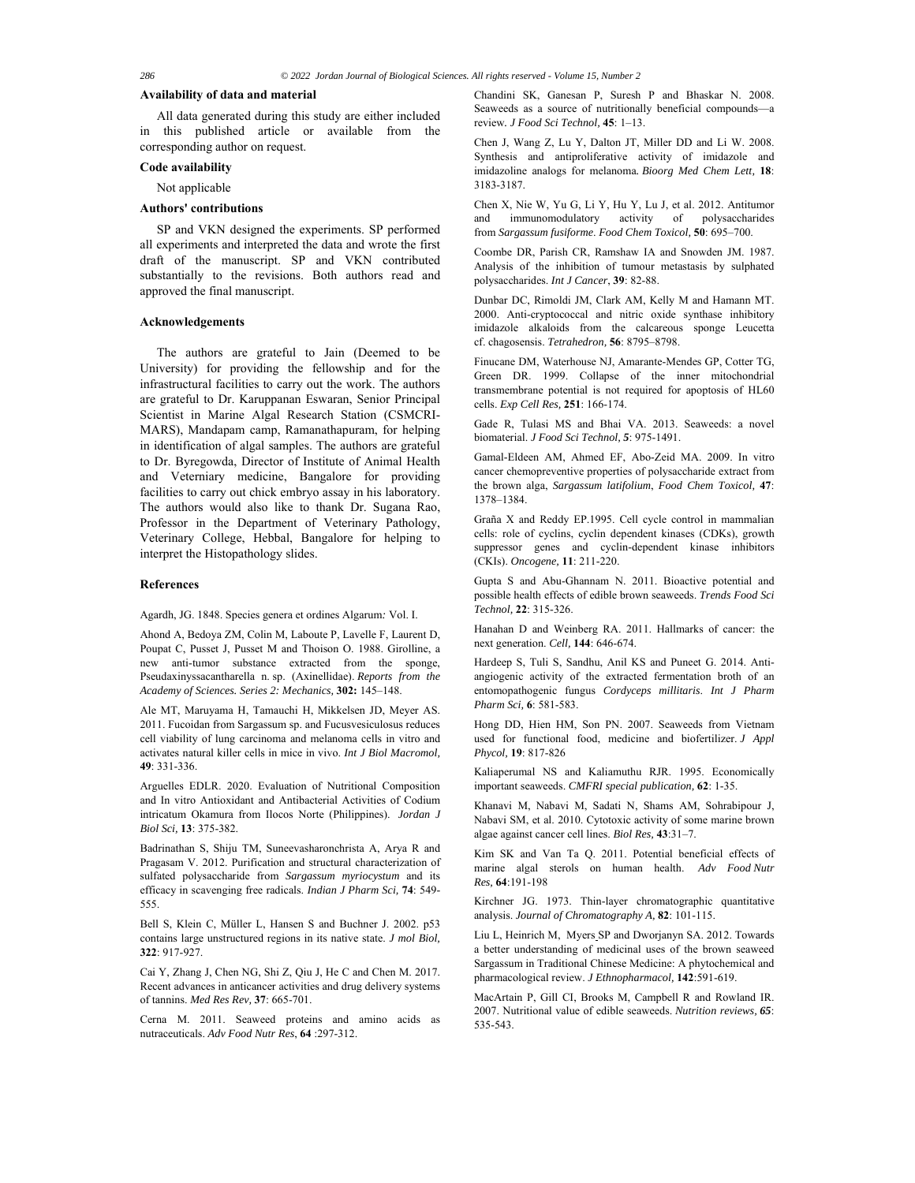#### **Availability of data and material**

All data generated during this study are either included in this published article or available from the corresponding author on request.

## **Code availability**

Not applicable

## **Authors' contributions**

SP and VKN designed the experiments. SP performed all experiments and interpreted the data and wrote the first draft of the manuscript. SP and VKN contributed substantially to the revisions. Both authors read and approved the final manuscript.

## **Acknowledgements**

The authors are grateful to Jain (Deemed to be University) for providing the fellowship and for the infrastructural facilities to carry out the work. The authors are grateful to Dr. Karuppanan Eswaran, Senior Principal Scientist in Marine Algal Research Station (CSMCRI-MARS), Mandapam camp, Ramanathapuram, for helping in identification of algal samples. The authors are grateful to Dr. Byregowda, Director of Institute of Animal Health and Veterniary medicine, Bangalore for providing facilities to carry out chick embryo assay in his laboratory. The authors would also like to thank Dr. Sugana Rao, Professor in the Department of Veterinary Pathology, Veterinary College, Hebbal, Bangalore for helping to interpret the Histopathology slides.

## **References**

Agardh, JG. 1848. Species genera et ordines Algarum*:* Vol. I.

Ahond A, Bedoya ZM, Colin M, Laboute P, Lavelle F, Laurent D, Poupat C, Pusset J, Pusset M and Thoison O. 1988. Girolline, a new anti-tumor substance extracted from the sponge, Pseudaxinyssacantharella n. sp. (Axinellidae). *Reports from the Academy of Sciences. Series 2: Mechanics,* **302:** 145–148.

Ale MT, Maruyama H, Tamauchi H, Mikkelsen JD, Meyer AS. 2011. Fucoidan from Sargassum sp. and Fucusvesiculosus reduces cell viability of lung carcinoma and melanoma cells in vitro and activates natural killer cells in mice in vivo. *Int J Biol Macromol,*  **49**: 331-336.

Arguelles EDLR. 2020. Evaluation of Nutritional Composition and In vitro Antioxidant and Antibacterial Activities of Codium intricatum Okamura from Ilocos Norte (Philippines). *Jordan J Biol Sci,* **13**: 375-382.

Badrinathan S, Shiju TM, Suneevasharonchrista A, Arya R and Pragasam V. 2012. Purification and structural characterization of sulfated polysaccharide from *Sargassum myriocystum* and its efficacy in scavenging free radicals. *Indian J Pharm Sci,* **74**: 549- 555.

Bell S, Klein C, Müller L, Hansen S and Buchner J. 2002. p53 contains large unstructured regions in its native state. *J mol Biol,*  **322**: 917-927.

Cai Y, Zhang J, Chen NG, Shi Z, Qiu J, He C and Chen M. 2017. Recent advances in anticancer activities and drug delivery systems of tannins. *Med Res Rev,* **37**: 665-701.

Cerna M. 2011. Seaweed proteins and amino acids as nutraceuticals. *Adv Food Nutr Res*, **64** :297-312.

Chandini SK, Ganesan P, Suresh P and Bhaskar N. 2008. Seaweeds as a source of nutritionally beneficial compounds—a review*. J Food Sci Technol,* **45**: 1–13.

Chen J, Wang Z, Lu Y, Dalton JT, Miller DD and Li W. 2008. Synthesis and antiproliferative activity of imidazole and imidazoline analogs for melanoma*. Bioorg Med Chem Lett,* **18**: 3183-3187.

Chen X, Nie W, Yu G, Li Y, Hu Y, Lu J, et al. 2012. Antitumor and immunomodulatory activity of polysaccharides from *Sargassum fusiforme*. *Food Chem Toxicol,* **50**: 695–700.

Coombe DR, Parish CR, Ramshaw IA and Snowden JM. 1987. Analysis of the inhibition of tumour metastasis by sulphated polysaccharides. *Int J Cancer*, **39**: 82-88.

Dunbar DC, Rimoldi JM, Clark AM, Kelly M and Hamann MT. 2000. Anti-cryptococcal and nitric oxide synthase inhibitory imidazole alkaloids from the calcareous sponge Leucetta cf. chagosensis. *Tetrahedron,* **56**: 8795–8798.

Finucane DM, Waterhouse NJ, Amarante-Mendes GP, Cotter TG, Green DR. 1999. Collapse of the inner mitochondrial transmembrane potential is not required for apoptosis of HL60 cells. *Exp Cell Res,* **251**: 166-174.

Gade R, Tulasi MS and Bhai VA. 2013. Seaweeds: a novel biomaterial. *J Food Sci Technol, 5*: 975-1491.

Gamal-Eldeen AM, Ahmed EF, Abo-Zeid MA. 2009. In vitro cancer chemopreventive properties of polysaccharide extract from the brown alga, *Sargassum latifolium*, *Food Chem Toxicol,* **47**: 1378–1384.

Graña X and Reddy EP.1995. Cell cycle control in mammalian cells: role of cyclins, cyclin dependent kinases (CDKs), growth suppressor genes and cyclin-dependent kinase inhibitors (CKIs). *Oncogene,* **11**: 211-220.

Gupta S and Abu-Ghannam N. 2011. Bioactive potential and possible health effects of edible brown seaweeds. *Trends Food Sci Technol,* **22**: 315-326.

Hanahan D and Weinberg RA. 2011. Hallmarks of cancer: the next generation. *Cell,* **144**: 646-674.

Hardeep S, Tuli S, Sandhu, Anil KS and Puneet G. 2014. Antiangiogenic activity of the extracted fermentation broth of an entomopathogenic fungus *Cordyceps millitaris*. *Int J Pharm Pharm Sci,* **6**: 581-583.

Hong DD, Hien HM, Son PN. 2007. Seaweeds from Vietnam used for functional food, medicine and biofertilizer. *J Appl Phycol,* **19**: 817-826

Kaliaperumal NS and Kaliamuthu RJR. 1995. Economically important seaweeds. *CMFRI special publication,* **62**: 1-35.

Khanavi M, Nabavi M, Sadati N, Shams AM, Sohrabipour J, Nabavi SM, et al. 2010. Cytotoxic activity of some marine brown algae against cancer cell lines. *Biol Res,* **43**:31–7.

Kim SK and Van Ta Q. 2011. Potential beneficial effects of marine algal sterols on human health. *Adv Food Nutr Res,* **64**:191-198

Kirchner JG. 1973. Thin-layer chromatographic quantitative analysis. *Journal of Chromatography A,* **82**: 101-115.

Liu L, Heinrich M, Myers SP and Dworjanyn SA. 2012. Towards a better understanding of medicinal uses of the brown seaweed Sargassum in Traditional Chinese Medicine: A phytochemical and pharmacological review. *J Ethnopharmacol,* **142**:591-619.

MacArtain P, Gill CI, Brooks M, Campbell R and Rowland IR. 2007. Nutritional value of edible seaweeds. *Nutrition reviews, 65*: 535-543.